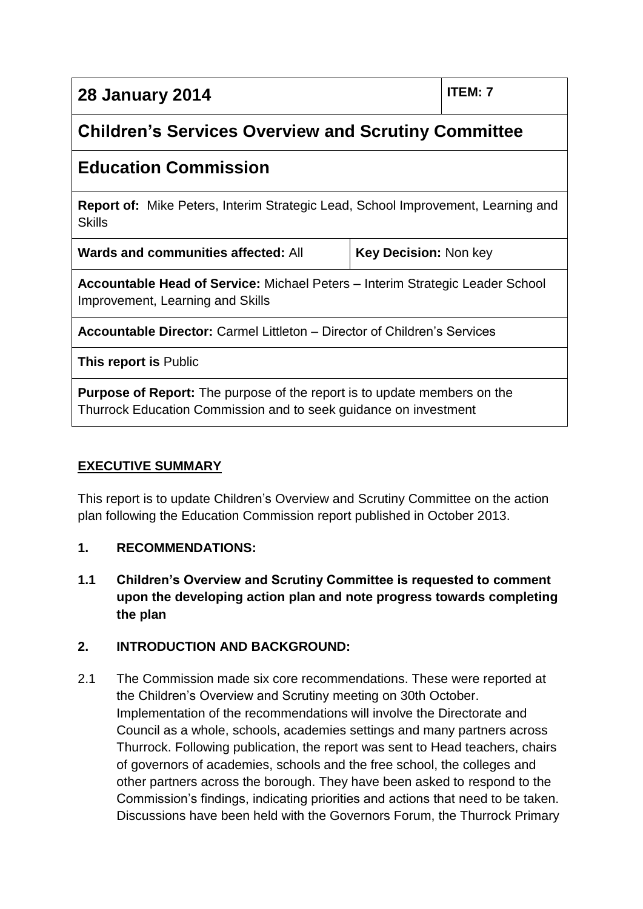| <b>28 January 2014</b> | ITEM: 7 |
|------------------------|---------|
|------------------------|---------|

# **Children's Services Overview and Scrutiny Committee**

## **Education Commission**

**Report of:** Mike Peters, Interim Strategic Lead, School Improvement, Learning and **Skills** 

| Wards and communities affected: All | Key Decision: Non key |
|-------------------------------------|-----------------------|
|                                     |                       |

**Accountable Head of Service:** Michael Peters – Interim Strategic Leader School Improvement, Learning and Skills

**Accountable Director:** Carmel Littleton – Director of Children's Services

**This report is** Public

**Purpose of Report:** The purpose of the report is to update members on the Thurrock Education Commission and to seek guidance on investment

#### **EXECUTIVE SUMMARY**

This report is to update Children's Overview and Scrutiny Committee on the action plan following the Education Commission report published in October 2013.

#### **1. RECOMMENDATIONS:**

**1.1 Children's Overview and Scrutiny Committee is requested to comment upon the developing action plan and note progress towards completing the plan**

#### **2. INTRODUCTION AND BACKGROUND:**

2.1 The Commission made six core recommendations. These were reported at the Children's Overview and Scrutiny meeting on 30th October. Implementation of the recommendations will involve the Directorate and Council as a whole, schools, academies settings and many partners across Thurrock. Following publication, the report was sent to Head teachers, chairs of governors of academies, schools and the free school, the colleges and other partners across the borough. They have been asked to respond to the Commission's findings, indicating priorities and actions that need to be taken. Discussions have been held with the Governors Forum, the Thurrock Primary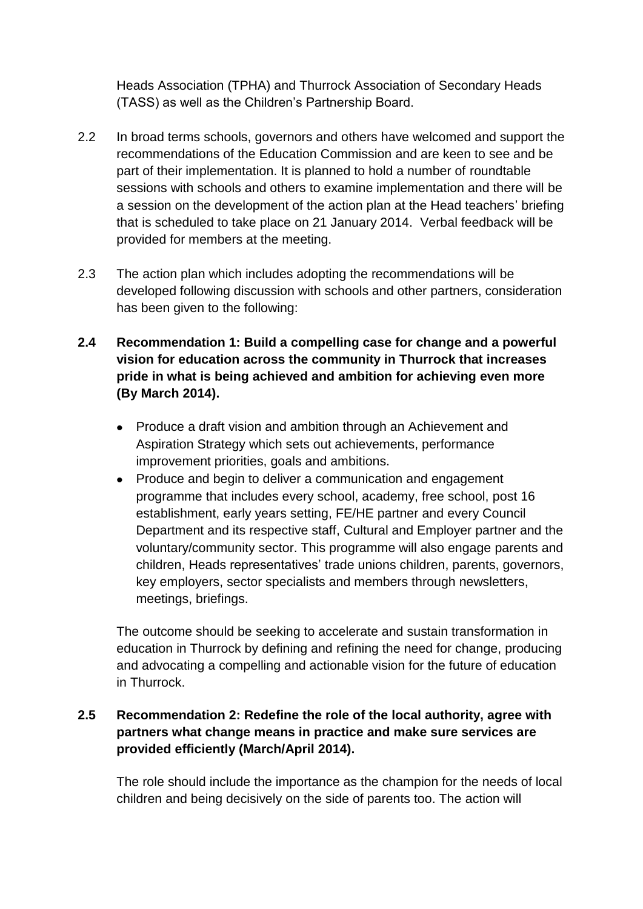Heads Association (TPHA) and Thurrock Association of Secondary Heads (TASS) as well as the Children's Partnership Board.

- 2.2 In broad terms schools, governors and others have welcomed and support the recommendations of the Education Commission and are keen to see and be part of their implementation. It is planned to hold a number of roundtable sessions with schools and others to examine implementation and there will be a session on the development of the action plan at the Head teachers' briefing that is scheduled to take place on 21 January 2014. Verbal feedback will be provided for members at the meeting.
- 2.3 The action plan which includes adopting the recommendations will be developed following discussion with schools and other partners, consideration has been given to the following:
- **2.4 Recommendation 1: Build a compelling case for change and a powerful vision for education across the community in Thurrock that increases pride in what is being achieved and ambition for achieving even more (By March 2014).**
	- Produce a draft vision and ambition through an Achievement and Aspiration Strategy which sets out achievements, performance improvement priorities, goals and ambitions.
	- $\bullet$ Produce and begin to deliver a communication and engagement programme that includes every school, academy, free school, post 16 establishment, early years setting, FE/HE partner and every Council Department and its respective staff, Cultural and Employer partner and the voluntary/community sector. This programme will also engage parents and children, Heads representatives' trade unions children, parents, governors, key employers, sector specialists and members through newsletters, meetings, briefings.

The outcome should be seeking to accelerate and sustain transformation in education in Thurrock by defining and refining the need for change, producing and advocating a compelling and actionable vision for the future of education in Thurrock.

#### **2.5 Recommendation 2: Redefine the role of the local authority, agree with partners what change means in practice and make sure services are provided efficiently (March/April 2014).**

The role should include the importance as the champion for the needs of local children and being decisively on the side of parents too. The action will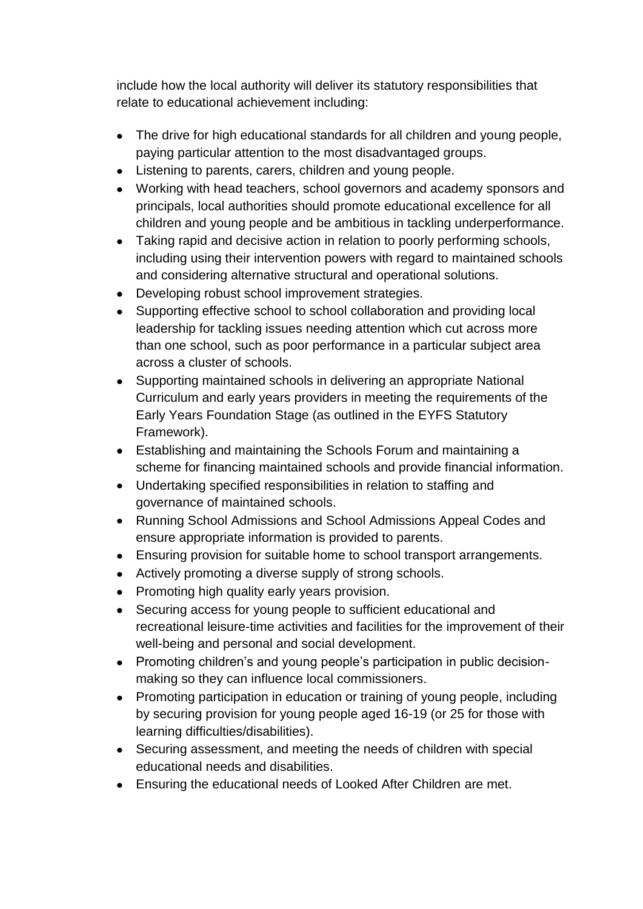include how the local authority will deliver its statutory responsibilities that relate to educational achievement including:

- The drive for high educational standards for all children and young people, paying particular attention to the most disadvantaged groups.
- Listening to parents, carers, children and young people.
- Working with head teachers, school governors and academy sponsors and principals, local authorities should promote educational excellence for all children and young people and be ambitious in tackling underperformance.
- Taking rapid and decisive action in relation to poorly performing schools, including using their intervention powers with regard to maintained schools and considering alternative structural and operational solutions.
- Developing robust school improvement strategies.  $\bullet$
- Supporting effective school to school collaboration and providing local  $\bullet$ leadership for tackling issues needing attention which cut across more than one school, such as poor performance in a particular subject area across a cluster of schools.
- Supporting maintained schools in delivering an appropriate National Curriculum and early years providers in meeting the requirements of the Early Years Foundation Stage (as outlined in the EYFS Statutory Framework).
- Establishing and maintaining the Schools Forum and maintaining a scheme for financing maintained schools and provide financial information.
- Undertaking specified responsibilities in relation to staffing and governance of maintained schools.
- Running School Admissions and School Admissions Appeal Codes and ensure appropriate information is provided to parents.
- Ensuring provision for suitable home to school transport arrangements.
- Actively promoting a diverse supply of strong schools.
- Promoting high quality early years provision.
- Securing access for young people to sufficient educational and recreational leisure-time activities and facilities for the improvement of their well-being and personal and social development.
- Promoting children's and young people's participation in public decisionmaking so they can influence local commissioners.
- Promoting participation in education or training of young people, including  $\bullet$ by securing provision for young people aged 16-19 (or 25 for those with learning difficulties/disabilities).
- Securing assessment, and meeting the needs of children with special educational needs and disabilities.
- Ensuring the educational needs of Looked After Children are met.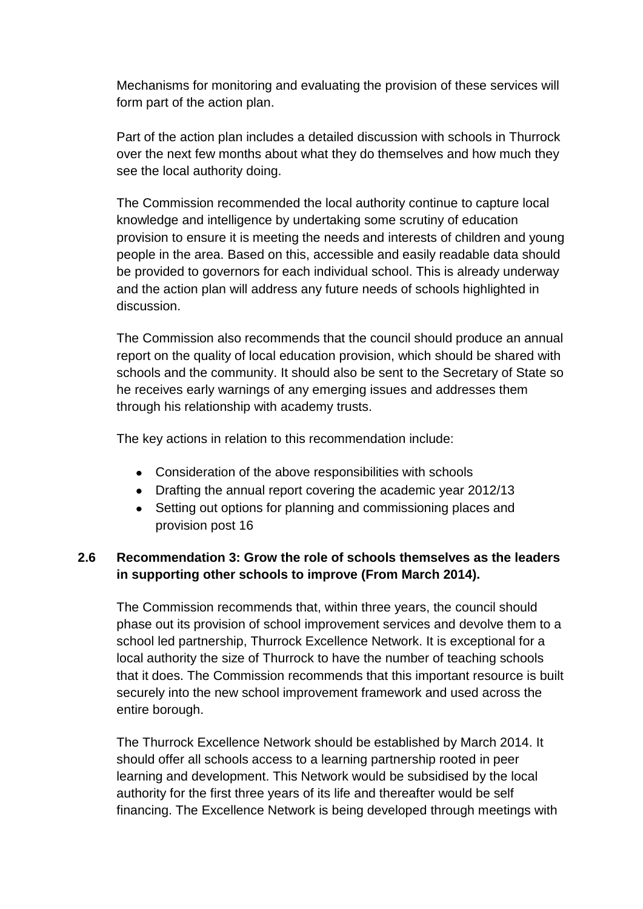Mechanisms for monitoring and evaluating the provision of these services will form part of the action plan.

Part of the action plan includes a detailed discussion with schools in Thurrock over the next few months about what they do themselves and how much they see the local authority doing.

The Commission recommended the local authority continue to capture local knowledge and intelligence by undertaking some scrutiny of education provision to ensure it is meeting the needs and interests of children and young people in the area. Based on this, accessible and easily readable data should be provided to governors for each individual school. This is already underway and the action plan will address any future needs of schools highlighted in discussion.

The Commission also recommends that the council should produce an annual report on the quality of local education provision, which should be shared with schools and the community. It should also be sent to the Secretary of State so he receives early warnings of any emerging issues and addresses them through his relationship with academy trusts.

The key actions in relation to this recommendation include:

- Consideration of the above responsibilities with schools
- Drafting the annual report covering the academic year 2012/13
- Setting out options for planning and commissioning places and provision post 16

#### **2.6 Recommendation 3: Grow the role of schools themselves as the leaders in supporting other schools to improve (From March 2014).**

The Commission recommends that, within three years, the council should phase out its provision of school improvement services and devolve them to a school led partnership, Thurrock Excellence Network. It is exceptional for a local authority the size of Thurrock to have the number of teaching schools that it does. The Commission recommends that this important resource is built securely into the new school improvement framework and used across the entire borough.

The Thurrock Excellence Network should be established by March 2014. It should offer all schools access to a learning partnership rooted in peer learning and development. This Network would be subsidised by the local authority for the first three years of its life and thereafter would be self financing. The Excellence Network is being developed through meetings with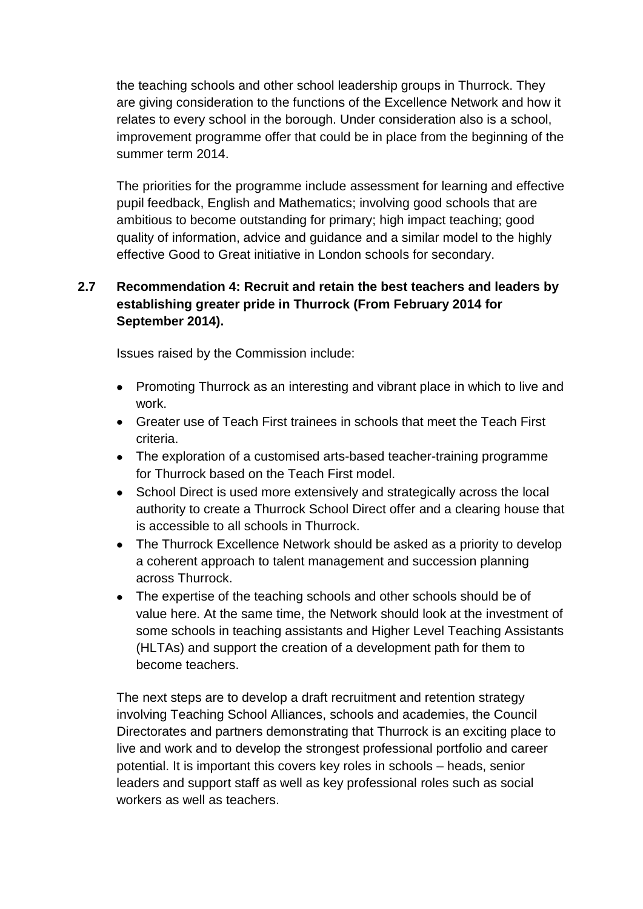the teaching schools and other school leadership groups in Thurrock. They are giving consideration to the functions of the Excellence Network and how it relates to every school in the borough. Under consideration also is a school, improvement programme offer that could be in place from the beginning of the summer term 2014.

The priorities for the programme include assessment for learning and effective pupil feedback, English and Mathematics; involving good schools that are ambitious to become outstanding for primary; high impact teaching; good quality of information, advice and guidance and a similar model to the highly effective Good to Great initiative in London schools for secondary.

#### **2.7 Recommendation 4: Recruit and retain the best teachers and leaders by establishing greater pride in Thurrock (From February 2014 for September 2014).**

Issues raised by the Commission include:

- Promoting Thurrock as an interesting and vibrant place in which to live and work.
- Greater use of Teach First trainees in schools that meet the Teach First criteria.
- The exploration of a customised arts-based teacher-training programme for Thurrock based on the Teach First model.
- School Direct is used more extensively and strategically across the local  $\bullet$ authority to create a Thurrock School Direct offer and a clearing house that is accessible to all schools in Thurrock.
- The Thurrock Excellence Network should be asked as a priority to develop a coherent approach to talent management and succession planning across Thurrock.
- The expertise of the teaching schools and other schools should be of value here. At the same time, the Network should look at the investment of some schools in teaching assistants and Higher Level Teaching Assistants (HLTAs) and support the creation of a development path for them to become teachers.

The next steps are to develop a draft recruitment and retention strategy involving Teaching School Alliances, schools and academies, the Council Directorates and partners demonstrating that Thurrock is an exciting place to live and work and to develop the strongest professional portfolio and career potential. It is important this covers key roles in schools – heads, senior leaders and support staff as well as key professional roles such as social workers as well as teachers.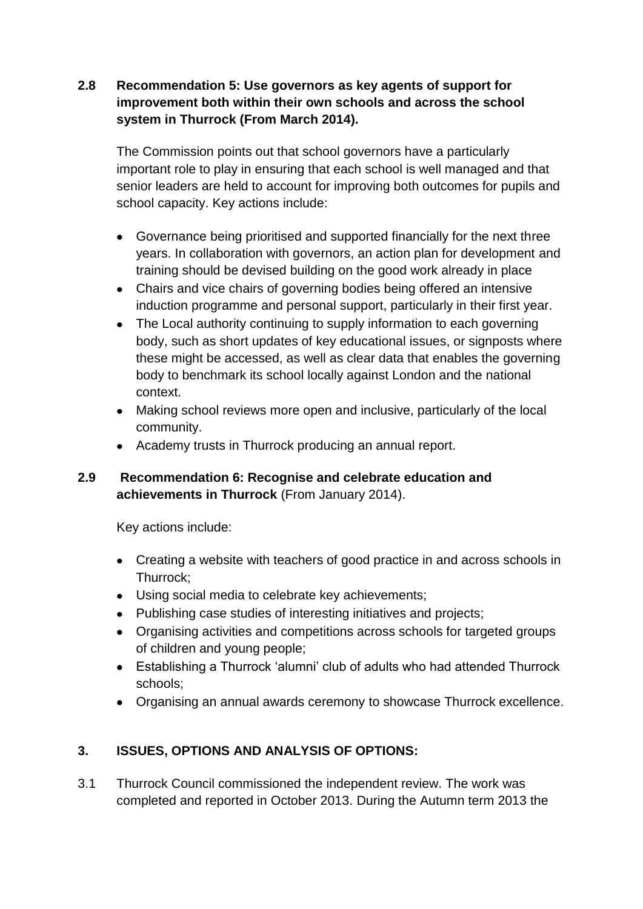#### **2.8 Recommendation 5: Use governors as key agents of support for improvement both within their own schools and across the school system in Thurrock (From March 2014).**

The Commission points out that school governors have a particularly important role to play in ensuring that each school is well managed and that senior leaders are held to account for improving both outcomes for pupils and school capacity. Key actions include:

- Governance being prioritised and supported financially for the next three years. In collaboration with governors, an action plan for development and training should be devised building on the good work already in place
- Chairs and vice chairs of governing bodies being offered an intensive induction programme and personal support, particularly in their first year.
- The Local authority continuing to supply information to each governing body, such as short updates of key educational issues, or signposts where these might be accessed, as well as clear data that enables the governing body to benchmark its school locally against London and the national context.
- Making school reviews more open and inclusive, particularly of the local community.
- Academy trusts in Thurrock producing an annual report.

#### **2.9 Recommendation 6: Recognise and celebrate education and achievements in Thurrock** (From January 2014).

Key actions include:

- Creating a website with teachers of good practice in and across schools in Thurrock;
- Using social media to celebrate key achievements;
- Publishing case studies of interesting initiatives and projects;
- Organising activities and competitions across schools for targeted groups of children and young people;
- Establishing a Thurrock 'alumni' club of adults who had attended Thurrock schools;
- Organising an annual awards ceremony to showcase Thurrock excellence.

#### **3. ISSUES, OPTIONS AND ANALYSIS OF OPTIONS:**

3.1 Thurrock Council commissioned the independent review. The work was completed and reported in October 2013. During the Autumn term 2013 the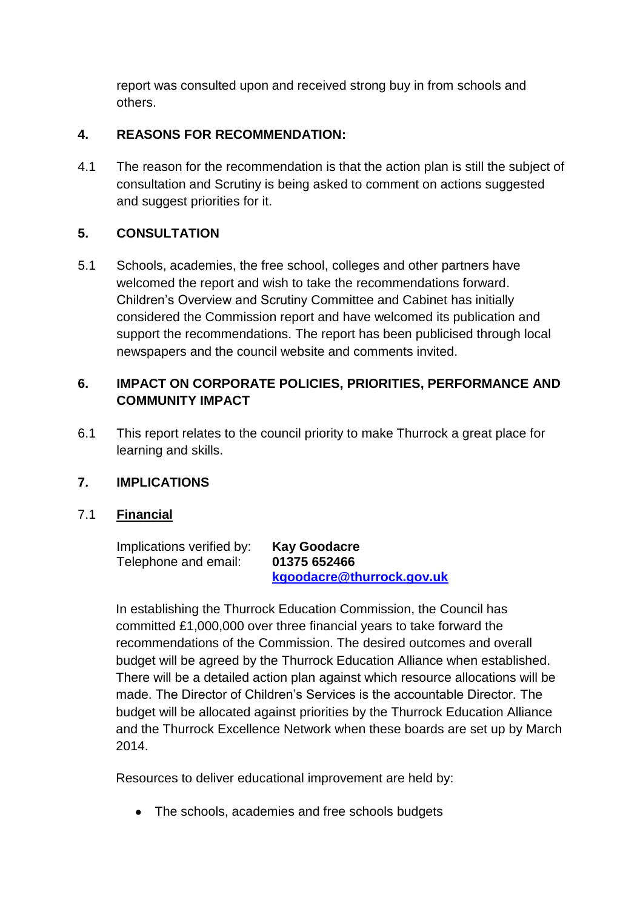report was consulted upon and received strong buy in from schools and others.

#### **4. REASONS FOR RECOMMENDATION:**

4.1 The reason for the recommendation is that the action plan is still the subject of consultation and Scrutiny is being asked to comment on actions suggested and suggest priorities for it.

#### **5. CONSULTATION**

5.1 Schools, academies, the free school, colleges and other partners have welcomed the report and wish to take the recommendations forward. Children's Overview and Scrutiny Committee and Cabinet has initially considered the Commission report and have welcomed its publication and support the recommendations. The report has been publicised through local newspapers and the council website and comments invited.

#### **6. IMPACT ON CORPORATE POLICIES, PRIORITIES, PERFORMANCE AND COMMUNITY IMPACT**

6.1 This report relates to the council priority to make Thurrock a great place for learning and skills.

#### **7. IMPLICATIONS**

#### 7.1 **Financial**

| Implications verified by: | <b>Kay Goodacre</b>       |
|---------------------------|---------------------------|
| Telephone and email:      | 01375 652466              |
|                           | kgoodacre@thurrock.gov.uk |

In establishing the Thurrock Education Commission, the Council has committed £1,000,000 over three financial years to take forward the recommendations of the Commission. The desired outcomes and overall budget will be agreed by the Thurrock Education Alliance when established. There will be a detailed action plan against which resource allocations will be made. The Director of Children's Services is the accountable Director. The budget will be allocated against priorities by the Thurrock Education Alliance and the Thurrock Excellence Network when these boards are set up by March 2014.

Resources to deliver educational improvement are held by:

• The schools, academies and free schools budgets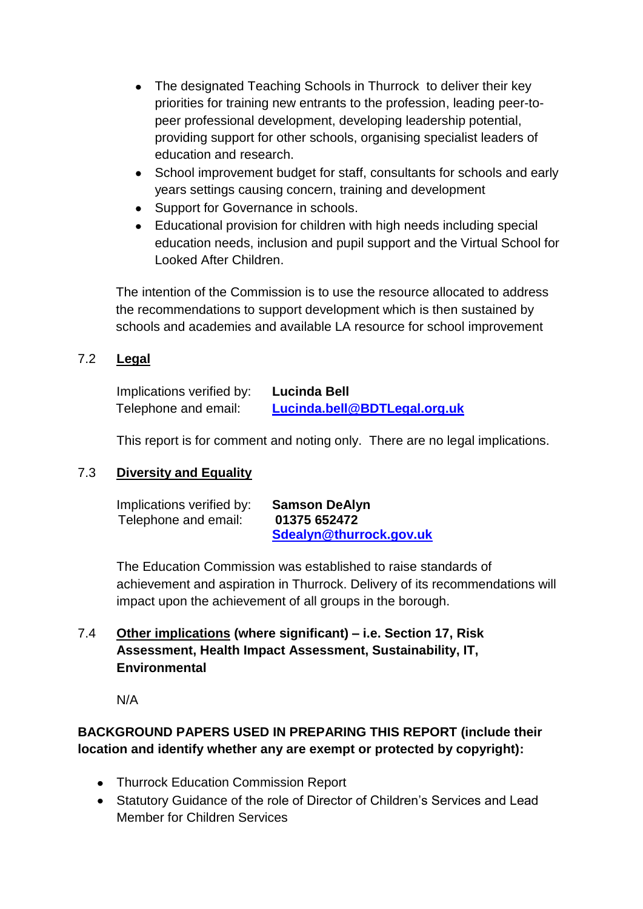- The designated Teaching Schools in Thurrock to deliver their key priorities for training new entrants to the profession, leading peer-topeer professional development, developing leadership potential, providing support for other schools, organising specialist leaders of education and research.
- School improvement budget for staff, consultants for schools and early years settings causing concern, training and development
- Support for Governance in schools.
- Educational provision for children with high needs including special education needs, inclusion and pupil support and the Virtual School for Looked After Children.

The intention of the Commission is to use the resource allocated to address the recommendations to support development which is then sustained by schools and academies and available LA resource for school improvement

#### 7.2 **Legal**

| Implications verified by: | Lucinda Bell                 |
|---------------------------|------------------------------|
| Telephone and email:      | Lucinda.bell@BDTLegal.org.uk |

This report is for comment and noting only. There are no legal implications.

#### 7.3 **Diversity and Equality**

| Implications verified by: | <b>Samson DeAlyn</b>    |
|---------------------------|-------------------------|
| Telephone and email:      | 01375 652472            |
|                           | Sdealyn@thurrock.gov.uk |

The Education Commission was established to raise standards of achievement and aspiration in Thurrock. Delivery of its recommendations will impact upon the achievement of all groups in the borough.

#### 7.4 **Other implications (where significant) – i.e. Section 17, Risk Assessment, Health Impact Assessment, Sustainability, IT, Environmental**

N/A

#### **BACKGROUND PAPERS USED IN PREPARING THIS REPORT (include their location and identify whether any are exempt or protected by copyright):**

- Thurrock Education Commission Report
- Statutory Guidance of the role of Director of Children's Services and Lead Member for Children Services